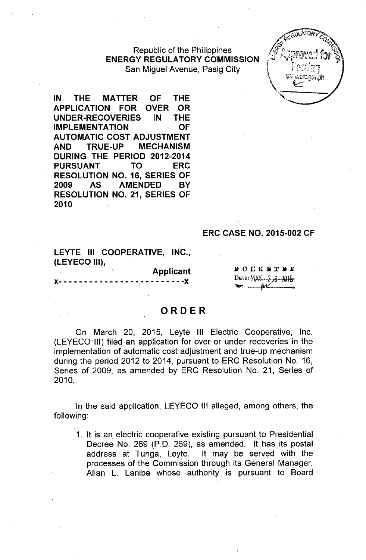Republic of the Philippines **ENERGY REGULATORY COMMISSION** San Miguel Avenue, Pasig City



**IN THE MATTER OF THE APPLICATION FOR OVER OR UNDER-RECOVERIES IN THE IMPLEMENTATION OF AUTOMATIC COST ADJUSTMENT AND TRUE-UP MECHANISM DURING THE PERIOD 2012-2014 PURSUANT TO ERC RESOLUTION NO. 16, SERIES OF 2009 .AS AMENDED BY RESOLUTION NO. 21, SERIES OF 2010**

### **ERC CASE NO. 2015-002 CF**

LEYTE III COOPERATIVE, INC., (LEYECO III), **Applicant** 

 $- - - -X$ 

 $900$ K W T N D Date: MAY.... 2-8-2015 

# **ORDER**

On March 20, 2015, Leyte **III** Electric Cooperative, Inc. (LEYECO III) filed an application for over or under recoveries in the implementation of automatic cost adjustment and true-up mechanism during the period 2012 to 2014, pursuant to ERC Resolution No. 16, Series of 2009, as amended by ERC Resolution No. 21, Series of 2010.

In the said application, LEYECO III alleged, among others, the following:

1. It is an electric cooperative existing pursuant to Presidential Decree No. 269 (P.O. 269), as amended. It has its postal address at Tunga, Leyte. It may be served with the processes of the Commission through its General Manager, Allan L. Laniba whose authority is pursuant to Board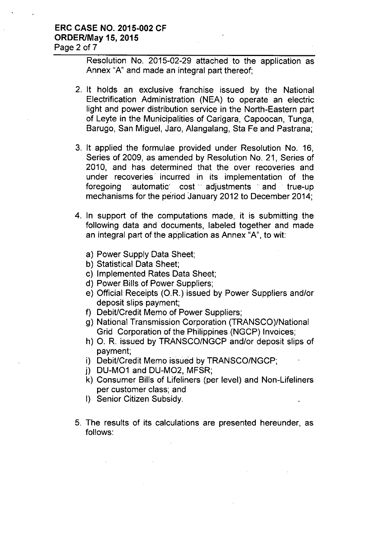## **ERC CASE NO. 2015-002 CF ORDER/May 15, 2015** Page 2 of 7

Resolution No. 2015-02-29 attached to the application as Annex "A" and made an integral part thereof;

- 2. It holds an exclusive franchise issued by the National Electrification Administration (NEA) to operate an electric light and power distribution service in the North-Eastern part of Leyte in the Municipalities of Carigara, Capoocan, Tunga, Barugo, San Miguel, Jaro, Alangalang, Sta Fe and Pastrana;
- 3. It applied the formulae provided under Resolution No. 16, Series of 2009, as amended by Resolution No. 21, Series of 2010, and has determined that the over recoveries and under recoveries' incurred in its implementation of the foregoing automatic cost adjustments and true-up mechanisms for the period January 2012 to December 2014;
- 4. In support of the computations made, it is submitting the following data and documents, labeled together and made an integral part of the application as Annex "A", to wit:
	- a) Power Supply Data Sheet;
	- b) Statistical Data Sheet;
	- c) Implemented Rates Data Sheet;
	- d) Power Bills of Power Suppliers;
	- e) Official Receipts (O.R.) issued by Power Suppliers and/or deposit slips payment;
	- f) Debit/Credit Memo of Power Suppliers;
	- g) National Transmission Corporation (TRANSCO)/National Grid Corporation of the Philippines (NGCP) Invoices;
	- h) O. R. issued by TRANSCO/NGCP and/or deposit slips of payment;
	- i) Debit/Credit Memo issued by TRANSCO/NGCP;
	- j) DU-M01 and DU-M02, MFSR;
	- k) Consumer Bills of Lifeliners (per level) and Non-Lifeliners per customer class; and
	- I) Senior Citizen Subsidy.
- 5. The results of its calculations are presented hereunder, as follows: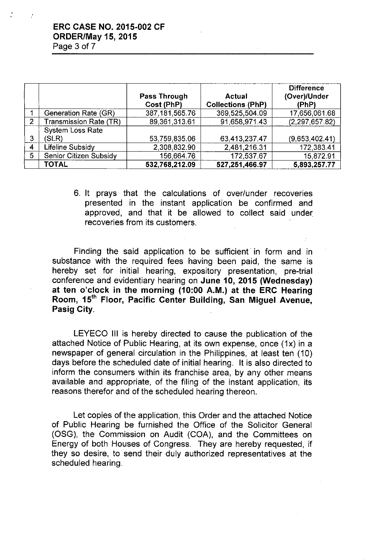### ERC CASE NO. 2015-002 CF ORDER/May 15, 2015 Page 3 of 7

|                |                         | <b>Pass Through</b><br>Cost (PhP) | Actual<br><b>Collections (PhP)</b> | <b>Difference</b><br>(Over)/Under<br>(PhP) |
|----------------|-------------------------|-----------------------------------|------------------------------------|--------------------------------------------|
|                | Generation Rate (GR)    | 387, 181, 565. 76                 | 369 525,504.09                     | 17,656,061.68                              |
| $\overline{2}$ | Transmission Rate (TR)  | 89.361,313.61                     | 91,658,971.43                      | (2,297,657.82)                             |
|                | <b>System Loss Rate</b> |                                   |                                    |                                            |
| 3              | (SLR)                   | 53,759,835.06                     | 63,413,237.47                      | (9,653,402.41)                             |
| 4              | Lifeline Subsidy        | 2,308,832.90                      | 2.481,216.31                       | 172,383.41                                 |
| 5              | Senior Citizen Subsidy  | 156,664.76                        | 172,537.67                         | 15.872.91                                  |
|                | <b>TOTAL</b>            | 532,768,212.09                    | 527,251,466.97                     | 5,893,257.77                               |

6. It prays that the calculations of over/under recoveries presented in the instant application be confirmed and approved, and that it be allowed to collect said under recoveries from its customers.

Finding the said application to be sufficient in form and in substance with the required fees having been paid, the same is hereby set for initial hearing, expository presentation, pre-trial conference and evidentiary hearing on June 10, 2015 (Wednesday) at ten o'clock in the morning (10:00 A.M.) at the ERC Hearing Room, 15<sup>th</sup> Floor, Pacific Center Building, San Miguel Avenue, Pasig City.

LEYECO III is hereby directed to cause the publication of the attached Notice of Public Hearing, at its own expense, once (1x) in a newspaper of general circulation in the Philippines, at least ten (10) days before the scheduled date of initial hearing. It is also directed to inform the consumers within its franchise area, by any other means available and appropriate, of the filing of the instant application, its reasons therefor and of the scheduled hearing thereon.

Let copies of the application, this Order and the attached Notice of Public Hearing be furnished the Office of the Solicitor General (OSG), the Commission on Audit (COA), and the Committees on Energy of both Houses of Congress. They are hereby requested, if they so desire, to send their duly authorized representatives at the scheduled hearing.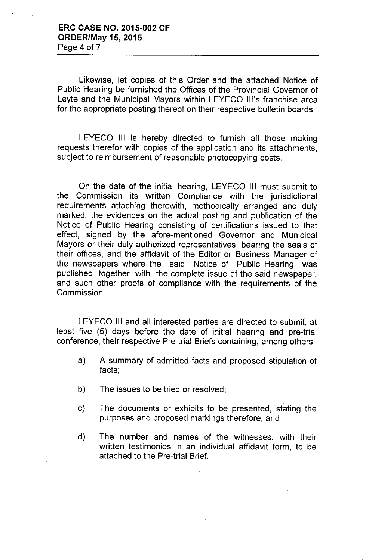$\mathbf{r}$ 

Likewise, let copies of this Order and the attached Notice of Public Hearing be furnished the Offices of the Provincial Governor of Leyte and the Municipal Mayors within LEYECO Ill's franchise area for the appropriate posting thereof on their respective bulletin boards.

LEYECO **III** is hereby directed to furnish all those making requests therefor with copies of the application and its attachments, subject to reimbursement of reasonable photocopying costs.

On the date of the initial hearing, LEYECO **III** must submit to the Commission its written Compliance with the jurisdictional requirements attaching therewith, methodically arranged and duly marked, the evidences on the actual posting and publication of the Notice of Public Hearing consisting of certifications issued to that effect, signed by the afore-mentioned Governor and Municipal Mayors or their duly authorized representatives, bearing the seals of their offices, and the affidavit of the Editor or Business Manager of the newspapers where the said Notice of Public Hearing was published together with the complete issue of the said newspaper, and such other proofs of compliance with the requirements of the Commission.

LEYECO **III** and all interested parties are directed to submit, at least five (5) days before the date of initial hearing and pre-trial conference, their respective Pre-trial Briefs containing, among others:

- a) A summary of admitted facts and proposed stipulation of facts;
- b) The issues to be tried or resolved;
- c) The documents or exhibits to be presented, stating the purposes and proposed markings therefore; and
- d) The number and names of the witnesses, with their written testimonies in an individual affidavit form, to be attached to the Pre-trial Brief.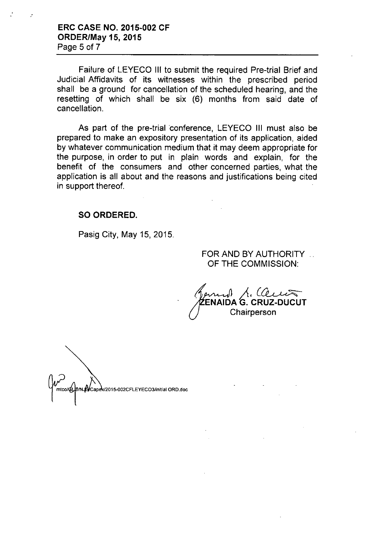ERC CASE NO. 2015-002 CF ORDER/May 15, 2015 Page 5 of 7

..

Failure of LEYECO III to submit the required Pre-trial Brief and Judicial Affidavits of its witnesses within the prescribed period shall be a ground for cancellation of the scheduled hearing, and the resetting of which shall be six (6) months from said date of cancellation.

As part of the pre-trial conference, LEYECO III must also be prepared to make an expository presentation of its application, aided by whatever communication medium that it may deem appropriate for the purpose, in order to put in plain words and explain, for the benefit of the consumers and other concerned parties, what the application is all about and the reasons and justifications being cited in support thereof.

### SO ORDERED.

Pasig City, May 15, 2015.

### FOR AND BY AUTHORITY OF THE COMMISSION:

 $\mu$ , Clears ENAIDA G. CRUZ-DUCUT **Chairperson** 

Capex/2015-002CFLEYECO3/initial ORD.doc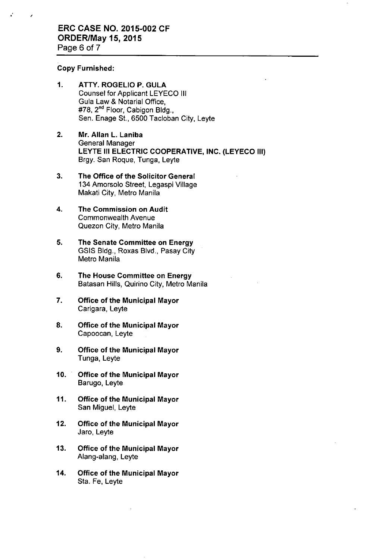#### Copy Furnished:

,

- 1. ATTY, ROGELIO P. GULA Counsel for Applicant LEYECO III Gula Law & Notarial Office, #78, 2<sup>nd</sup> Floor, Cabigon Bldg., Sen. Enage St., 6500 Tacloban City, Leyte
- 2. Mr. Allan L. Laniba General Manager LEYTE III ELECTRIC COOPERATIVE, INC. (LEYECO III) Brgy. San Roque, Tunga, Leyte
- 3. The Office of the Solicitor General 134 Amorsolo Street, Legaspi Village Makati City, Metro Manila
- 4. The Commission on Audit Commonwealth Avenue Quezon City, Metro Manila
- 5. The Senate Committee on Energy GSIS Bldg., Roxas Blvd., Pasay City Metro Manila
- 6. The House Committee on Energy Batasan Hills, Quirino City, Metro Manila
- 7. Office of the Municipal Mayor Carigara, Leyte
- 8. Office of the Municipal Mayor Capoocan, Leyte
- 9. Office of the Municipal Mayor Tunga, Leyte
- 10. Office of the Municipal Mayor Barugo, Leyte
- 11. Office of the Municipal Mayor San Miguel, Leyte
- 12. Office of the Municipal Mayor Jaro, Leyte
- 13. Office of the Municipal Mayor Alang-alang, Leyte
- 14. Office of the Municipal Mayor Sta. Fe, Leyte